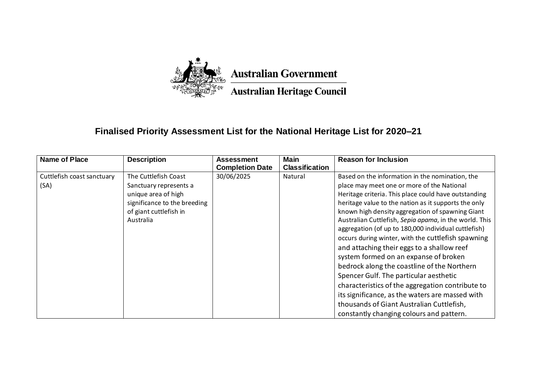

## **Finalised Priority Assessment List for the National Heritage List for 2020–21**

| Name of Place              | <b>Description</b>           | <b>Assessment</b><br><b>Completion Date</b> | <b>Main</b><br><b>Classification</b> | <b>Reason for Inclusion</b>                            |
|----------------------------|------------------------------|---------------------------------------------|--------------------------------------|--------------------------------------------------------|
| Cuttlefish coast sanctuary | The Cuttlefish Coast         | 30/06/2025                                  | Natural                              | Based on the information in the nomination, the        |
| (SA)                       | Sanctuary represents a       |                                             |                                      | place may meet one or more of the National             |
|                            | unique area of high          |                                             |                                      | Heritage criteria. This place could have outstanding   |
|                            | significance to the breeding |                                             |                                      | heritage value to the nation as it supports the only   |
|                            | of giant cuttlefish in       |                                             |                                      | known high density aggregation of spawning Giant       |
|                            | Australia                    |                                             |                                      | Australian Cuttlefish, Sepia apama, in the world. This |
|                            |                              |                                             |                                      | aggregation (of up to 180,000 individual cuttlefish)   |
|                            |                              |                                             |                                      | occurs during winter, with the cuttlefish spawning     |
|                            |                              |                                             |                                      | and attaching their eggs to a shallow reef             |
|                            |                              |                                             |                                      | system formed on an expanse of broken                  |
|                            |                              |                                             |                                      | bedrock along the coastline of the Northern            |
|                            |                              |                                             |                                      | Spencer Gulf. The particular aesthetic                 |
|                            |                              |                                             |                                      | characteristics of the aggregation contribute to       |
|                            |                              |                                             |                                      | its significance, as the waters are massed with        |
|                            |                              |                                             |                                      | thousands of Giant Australian Cuttlefish,              |
|                            |                              |                                             |                                      | constantly changing colours and pattern.               |